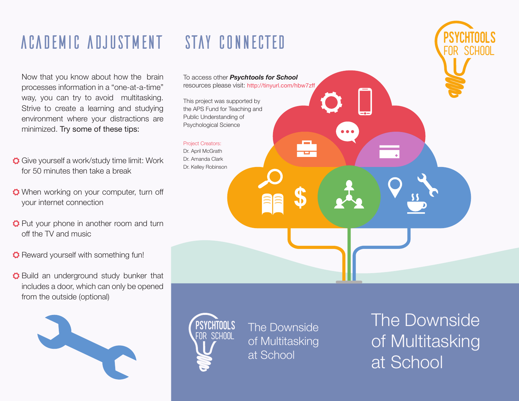## ACADEMIC ADJUSTMENT STAY CONNECTED (PSYCHTOOLS

Now that you know about how the brain processes information in a "one-at-a-time" way, you can try to avoid multitasking. Strive to create a learning and studying environment where your distractions are minimized. Try some of these tips:

- $\bullet$  Give yourself a work/study time limit: Work for 50 minutes then take a break
- $\bullet$  When working on your computer, turn off your internet connection
- **Put** your phone in another room and turn off the TV and music
- Reward yourself with something fun!
- $\bullet$  Build an underground study bunker that includes a door, which can only be opened from the outside (optional)



To access other **Psychtools for School** resources please visit: http://tinyurl.com/hbw7zff

This project was supported by the APS Fund for Teaching and Public Understanding of Psychological Science

Project Creators: Dr. April McGrath Dr. Amanda Clark Dr. Kellev Robinson

> Psychtools FOR SCHOOL

The Downside of Multitasking at School

**\$**

The Downside of Multitasking at School

for school